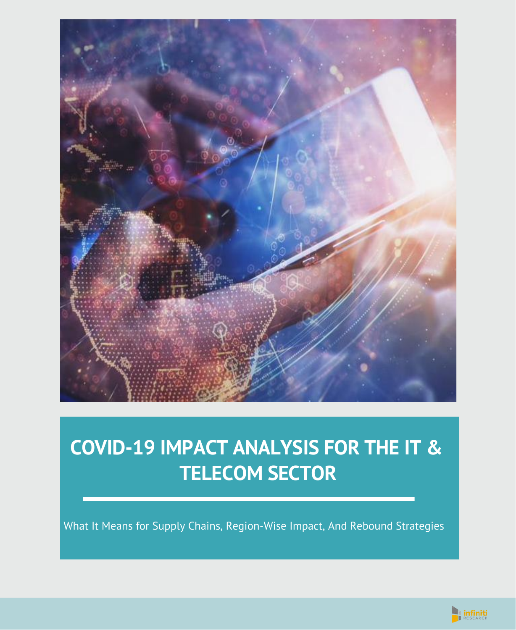

# **COVID-19 IMPACT ANALYSIS FOR THE IT & TELECOM SECTOR**

What It Means for Supply Chains, Region-Wise Impact, And Rebound Strategies

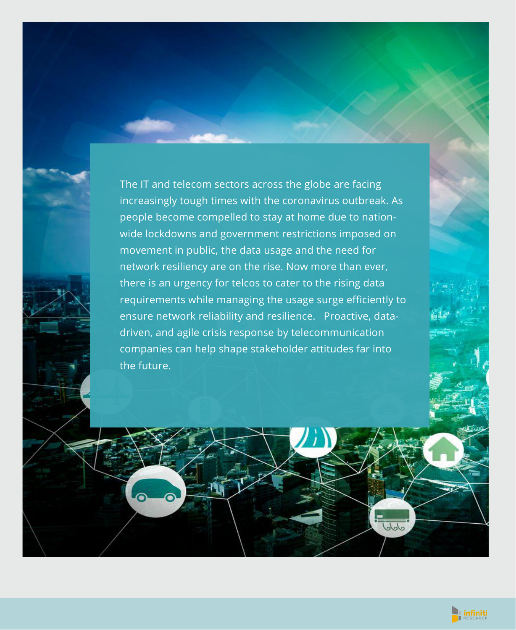The IT and telecom sectors across the globe are facing increasingly tough times with the coronavirus outbreak. As people become compelled to stay at home due to nationwide lockdowns and government restrictions imposed on movement in public, the data usage and the need for network resiliency are on the rise. Now more than ever, there is an urgency for telcos to cater to the rising data requirements while managing the usage surge efficiently to ensure network reliability and resilience. Proactive, datadriven, and agile crisis response by telecommunication companies can help shape stakeholder attitudes far into the future.



 $J_0J_0$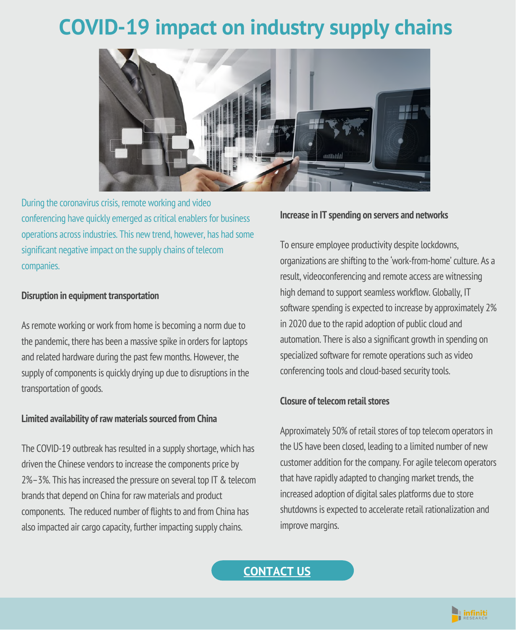# **COVID-19 impact on industry supply chains**



During the coronavirus crisis, remote working and video conferencing have quickly emerged as critical enablers for business operations across industries. This new trend, however, has had some significant negative impact on the supply chains of telecom companies.

#### **Disruption in equipment transportation**

As remote working or work from home is becoming a norm due to the pandemic, there has been a massive spike in orders for laptops and related hardware during the past few months. However, the supply of components is quickly drying up due to disruptions in the transportation of goods.

#### **Limited availability of rawmaterialssourced fromChina**

The COVID-19 outbreak has resulted in a supplyshortage, which has driven the Chinese vendors to increase the components price by 2%–3%. This has increased the pressure on several top IT & telecom brands that depend on China for raw materials and product components. The reduced number of flights to and from China has also impacted air cargo capacity, further impacting supply chains.

#### **Increase in IT spending on servers and networks**

To ensure employee productivity despite lockdowns, organizations are shifting to the 'work-from-home'culture. As a result, videoconferencing and remote access are witnessing high demand to support seamless workflow. Globally, IT software spending is expected to increase by approximately 2% in 2020 due to the rapid adoption of public cloud and automation. There is also a significant growth in spending on specialized software for remote operations such as video conferencing tools and cloud-based security tools.

#### **Closure of telecomretailstores**

Approximately 50% of retail stores of top telecom operators in the US have been closed, leading to a limited number of new customer addition for the company. For agile telecom operators that have rapidly adapted to changing market trends, the increased adoption of digital sales platforms due to store shutdowns is expected to accelerate retail rationalization and improve margins.

**[CONTACT](https://www.infinitiresearch.com/contact-us?pk_campaign=IRWP&pk_source=IRWPweek34&pk_medium=IRWP1.1week34&pk_keyword=Telecom%20and%20IT) US**

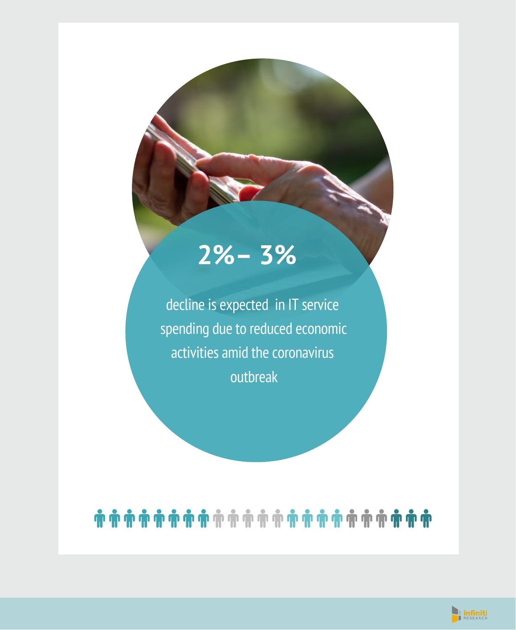# **2%– 3%**

decline is expected in IT service spending due to reduced economic activities amid the coronavirus outbreak

# 

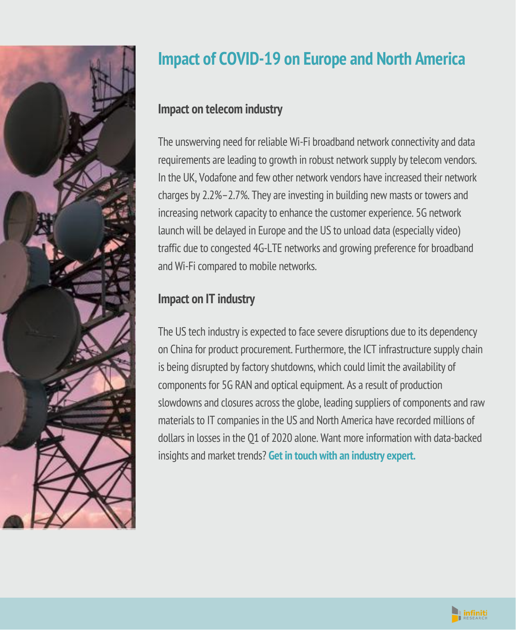

## **Impact of COVID-19 on Europe and North America**

### **Impact on telecom industry**

The unswerving need for reliable Wi-Fi broadband networkconnectivity and data requirements are leading to growth in robust network supply by telecom vendors. In the UK, Vodafone and few other network vendors have increased their network charges by 2.2%–2.7%. They are investing in building new masts or towers and increasing network capacity to enhance the customer experience. 5G network launch will be delayed in Europe and the US to unload data (especially video) traffic due to congested 4G-LTE networks and growing preference for broadband and Wi-Fi compared to mobile networks.

### **Impact on IT industry**

The US tech industry is expected to face severe disruptions due to its dependency on China for product procurement. Furthermore, the ICT infrastructure supplychain is being disrupted by factory shutdowns, which could limit the availability of components for 5G RAN and optical equipment. As a result of production slowdowns and closures across the globe, leading suppliers of components and raw materials to IT companies in the US and North America have recorded millions of dollars in losses in the Q1 of 2020 alone. Want more information with data-backed insights and market trends? **Get in [touch](https://www.infinitiresearch.com/contact-us) with an industry expert.**

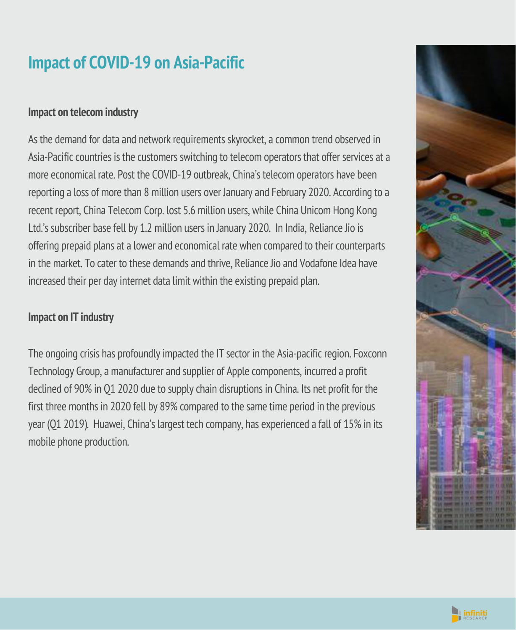### **Impact of COVID-19 on Asia-Pacific**

#### **Impact on telecom industry**

As the demand for data and network requirements skyrocket, a common trend observed in Asia-Pacific countries is the customers switching to telecom operators that offer services at a more economical rate. Post the COVID-19 outbreak, China's telecom operators have been reporting a loss of more than 8 million users over January and February 2020. According to a recent report, China Telecom Corp. lost 5.6 million users, while China Unicom Hong Kong Ltd.'s subscriber base fell by 1.2 million users in January 2020. In India, Reliance Jio is offering prepaid plans at a lower and economical rate when compared to their counterparts in the market. To cater to these demands and thrive, Reliance Jio and Vodafone Idea have increased their per day internet data limit within the existing prepaid plan.

### **Impact on IT industry**

The ongoing crisis has profoundly impacted the IT sector in the Asia-pacific region. Foxconn Technology Group, a manufacturer and supplier of Apple components, incurred a profit declined of 90% in Q1 2020 due to supply chain disruptions in China. Its net profit for the first three months in 2020 fell by 89% compared to the same time period in the previous year (Q1 2019). Huawei, China's largest tech company, has experienced a fall of 15% in its mobile phone production.



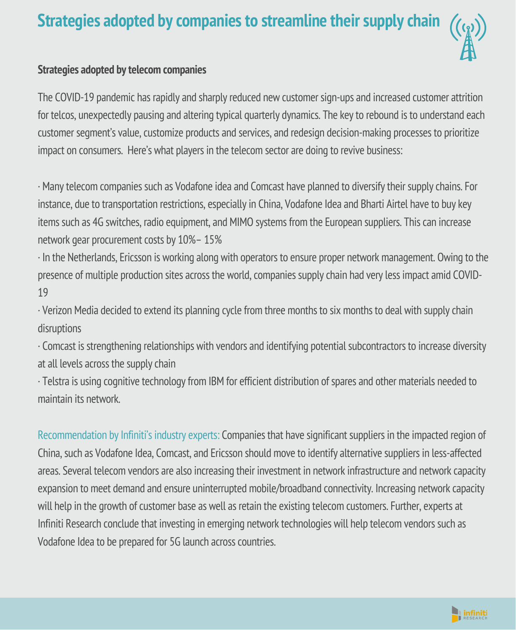### **Strategies adopted by companies to streamline their supply chain**



#### **Strategies adopted by telecom companies**

The COVID-19 pandemic has rapidly and sharply reduced new customer sign-ups and increased customer attrition for telcos, unexpectedly pausing and altering typical quarterly dynamics. The keyto rebound is to understand each customer segment's value, customize products and services, and redesign decision-making processes to prioritize impact on consumers. Here's what players in the telecom sector are doing to revive business:

· Many telecom companies such as Vodafone idea and Comcast have planned to diversify their supply chains. For instance, due to transportation restrictions, especially in China, Vodafone Idea and Bharti Airtel have to buy key items such as 4G switches, radio equipment, and MIMO systems from the European suppliers. Thiscan increase network gear procurement costs by 10%– 15%

· In the Netherlands, Ericsson is working along with operators to ensure proper network management. Owing to the presence of multiple production sites across the world, companies supply chain had very less impact amid COVID-19

· Verizon Media decided to extend its planning cycle from three months to six months to deal with supplychain disruptions

· Comcast is strengthening relationships with vendors and identifying potential subcontractors to increase diversity at all levels across the supplychain

· Telstra is using cognitive technology from IBM for efficient distribution of spares and other materials needed to maintain its network.

Recommendation by Infiniti's industry experts: Companies that have significant suppliers in the impacted region of China, such as Vodafone Idea, Comcast, and Ericsson should move to identify alternative suppliers in less-affected areas. Several telecom vendors are also increasing their investment in network infrastructure and network capacity expansion to meet demand and ensure uninterrupted mobile/broadband connectivity. Increasing networkcapacity will help in the growth of customer base as well as retain the existing telecom customers. Further, experts at Infiniti Research conclude that investing in emerging network technologies will help telecom vendors such as Vodafone Idea to be prepared for 5G launch across countries.